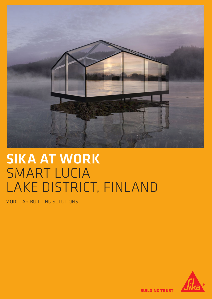

# SIKA AT WORK SMART LUCIA LAKE DISTRICT, FINLAND

MODULAR BUILDING SOLUTIONS



**BUILDING TRUST**